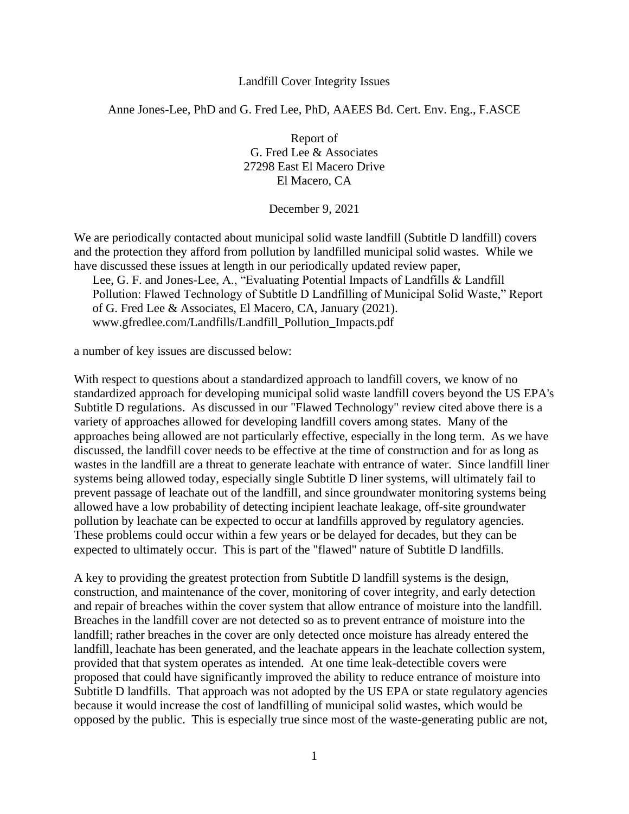## Landfill Cover Integrity Issues

## Anne Jones-Lee, PhD and G. Fred Lee, PhD, AAEES Bd. Cert. Env. Eng., F.ASCE

Report of G. Fred Lee & Associates 27298 East El Macero Drive El Macero, CA

December 9, 2021

We are periodically contacted about municipal solid waste landfill (Subtitle D landfill) covers and the protection they afford from pollution by landfilled municipal solid wastes. While we have discussed these issues at length in our periodically updated review paper,

Lee, G. F. and Jones-Lee, A., "Evaluating Potential Impacts of Landfills & Landfill Pollution: Flawed Technology of Subtitle D Landfilling of Municipal Solid Waste," Report of G. Fred Lee & Associates, El Macero, CA, January (2021). www.gfredlee.com/Landfills/Landfill\_Pollution\_Impacts.pdf

a number of key issues are discussed below:

With respect to questions about a standardized approach to landfill covers, we know of no standardized approach for developing municipal solid waste landfill covers beyond the US EPA's Subtitle D regulations. As discussed in our "Flawed Technology" review cited above there is a variety of approaches allowed for developing landfill covers among states. Many of the approaches being allowed are not particularly effective, especially in the long term. As we have discussed, the landfill cover needs to be effective at the time of construction and for as long as wastes in the landfill are a threat to generate leachate with entrance of water. Since landfill liner systems being allowed today, especially single Subtitle D liner systems, will ultimately fail to prevent passage of leachate out of the landfill, and since groundwater monitoring systems being allowed have a low probability of detecting incipient leachate leakage, off-site groundwater pollution by leachate can be expected to occur at landfills approved by regulatory agencies. These problems could occur within a few years or be delayed for decades, but they can be expected to ultimately occur. This is part of the "flawed" nature of Subtitle D landfills.

A key to providing the greatest protection from Subtitle D landfill systems is the design, construction, and maintenance of the cover, monitoring of cover integrity, and early detection and repair of breaches within the cover system that allow entrance of moisture into the landfill. Breaches in the landfill cover are not detected so as to prevent entrance of moisture into the landfill; rather breaches in the cover are only detected once moisture has already entered the landfill, leachate has been generated, and the leachate appears in the leachate collection system, provided that that system operates as intended. At one time leak-detectible covers were proposed that could have significantly improved the ability to reduce entrance of moisture into Subtitle D landfills. That approach was not adopted by the US EPA or state regulatory agencies because it would increase the cost of landfilling of municipal solid wastes, which would be opposed by the public. This is especially true since most of the waste-generating public are not,